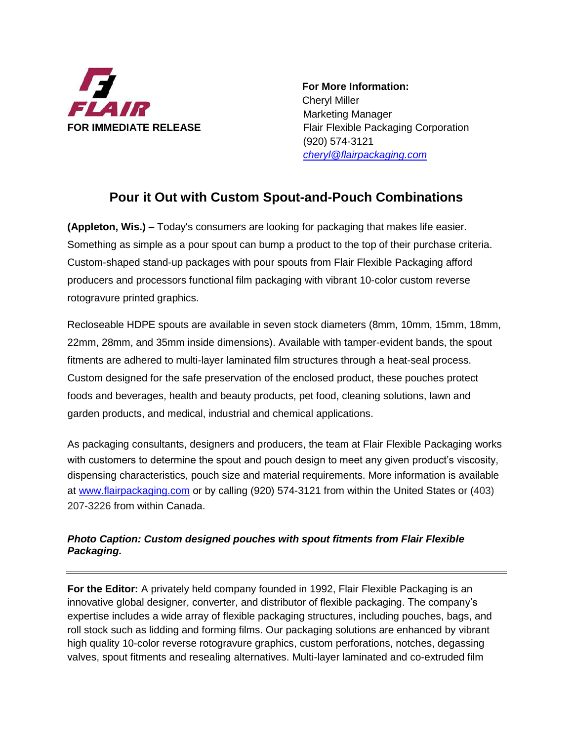

 **For More Information:** Cheryl Miller Marketing Manager **FOR IMMEDIATE RELEASE** Flair Flexible Packaging Corporation (920) 574-3121 *[cheryl@flairpackaging.com](mailto:cheryl@flairpackaging.com)*

## **Pour it Out with Custom Spout-and-Pouch Combinations**

**(Appleton, Wis.) –** Today's consumers are looking for packaging that makes life easier. Something as simple as a pour spout can bump a product to the top of their purchase criteria. Custom-shaped stand-up packages with pour spouts from Flair Flexible Packaging afford producers and processors functional film packaging with vibrant 10-color custom reverse rotogravure printed graphics.

Recloseable HDPE spouts are available in seven stock diameters (8mm, 10mm, 15mm, 18mm, 22mm, 28mm, and 35mm inside dimensions). Available with tamper-evident bands, the spout fitments are adhered to multi-layer laminated film structures through a heat-seal process. Custom designed for the safe preservation of the enclosed product, these pouches protect foods and beverages, health and beauty products, pet food, cleaning solutions, lawn and garden products, and medical, industrial and chemical applications.

As packaging consultants, designers and producers, the team at Flair Flexible Packaging works with customers to determine the spout and pouch design to meet any given product's viscosity, dispensing characteristics, pouch size and material requirements. More information is available at [www.flairpackaging.com](http://www.flairpackaging.com/) or by calling (920) 574-3121 from within the United States or (403) 207-3226 from within Canada.

## *Photo Caption: Custom designed pouches with spout fitments from Flair Flexible Packaging.*

**For the Editor:** A privately held company founded in 1992, Flair Flexible Packaging is an innovative global designer, converter, and distributor of flexible packaging. The company's expertise includes a wide array of flexible packaging structures, including pouches, bags, and roll stock such as lidding and forming films. Our packaging solutions are enhanced by vibrant high quality 10-color reverse rotogravure graphics, custom perforations, notches, degassing valves, spout fitments and resealing alternatives. Multi-layer laminated and co-extruded film